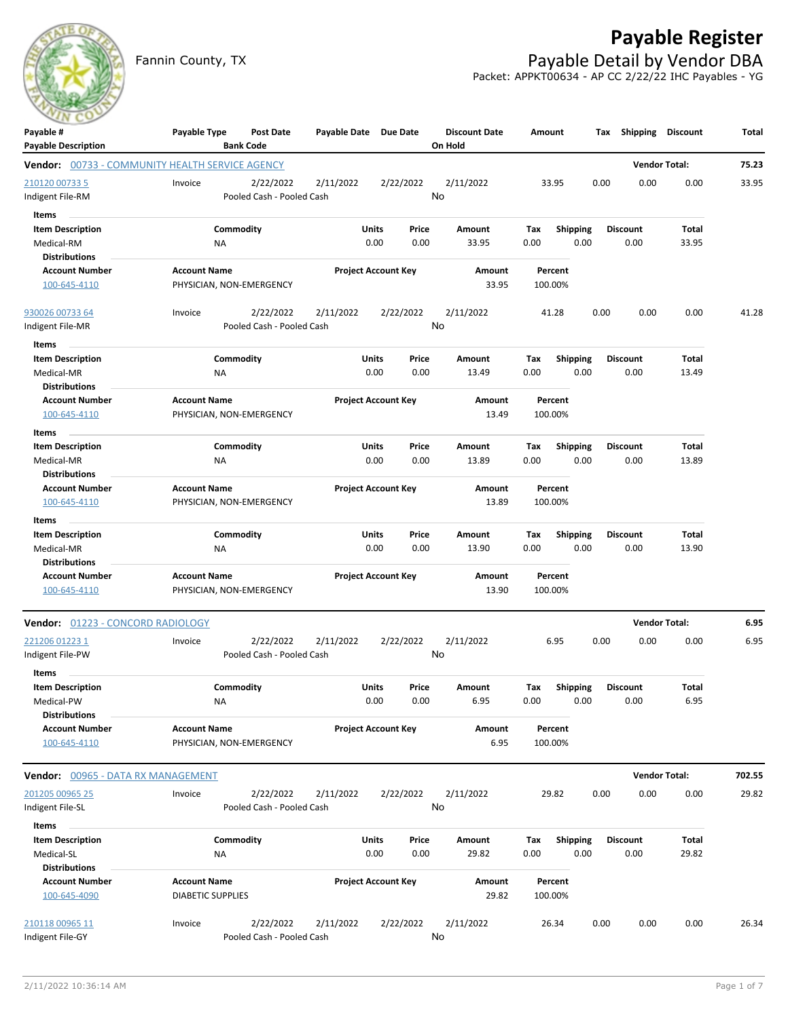

Fannin County, TX **Payable Detail by Vendor DBA** Packet: APPKT00634 - AP CC 2/22/22 IHC Payables - YG



| Payable #<br><b>Payable Description</b>                | Payable Type                                    | Post Date<br><b>Bank Code</b> | Payable Date Due Date |                            | <b>Discount Date</b><br>On Hold | Amount                 | Tax  | Shipping        | Discount             | Total  |
|--------------------------------------------------------|-------------------------------------------------|-------------------------------|-----------------------|----------------------------|---------------------------------|------------------------|------|-----------------|----------------------|--------|
| <b>Vendor:</b> 00733 - COMMUNITY HEALTH SERVICE AGENCY |                                                 |                               |                       |                            |                                 |                        |      |                 | <b>Vendor Total:</b> | 75.23  |
| 210120 00733 5                                         | Invoice                                         | 2/22/2022                     | 2/11/2022             | 2/22/2022                  | 2/11/2022                       | 33.95                  | 0.00 | 0.00            | 0.00                 | 33.95  |
| Indigent File-RM                                       |                                                 | Pooled Cash - Pooled Cash     |                       |                            | No                              |                        |      |                 |                      |        |
| Items                                                  |                                                 |                               |                       |                            |                                 |                        |      |                 |                      |        |
| <b>Item Description</b>                                |                                                 | Commodity                     | <b>Units</b>          | Price                      | Amount                          | <b>Shipping</b><br>Tax |      | <b>Discount</b> | Total                |        |
| Medical-RM                                             | NA                                              |                               |                       | 0.00<br>0.00               | 33.95                           | 0.00                   | 0.00 | 0.00            | 33.95                |        |
| <b>Distributions</b>                                   |                                                 |                               |                       |                            |                                 |                        |      |                 |                      |        |
| <b>Account Number</b>                                  | <b>Account Name</b>                             |                               |                       | <b>Project Account Key</b> | Amount                          | Percent                |      |                 |                      |        |
| 100-645-4110                                           | PHYSICIAN, NON-EMERGENCY                        |                               |                       |                            | 33.95                           | 100.00%                |      |                 |                      |        |
| 930026 00733 64                                        | Invoice                                         | 2/22/2022                     | 2/11/2022             | 2/22/2022                  | 2/11/2022                       | 41.28                  | 0.00 | 0.00            | 0.00                 | 41.28  |
| Indigent File-MR                                       |                                                 | Pooled Cash - Pooled Cash     |                       |                            | No                              |                        |      |                 |                      |        |
| Items                                                  |                                                 |                               |                       |                            |                                 |                        |      |                 |                      |        |
| <b>Item Description</b>                                |                                                 | Commodity                     | <b>Units</b>          | Price                      | Amount                          | Tax<br><b>Shipping</b> |      | <b>Discount</b> | Total                |        |
| Medical-MR                                             | <b>NA</b>                                       |                               |                       | 0.00<br>0.00               | 13.49                           | 0.00                   | 0.00 | 0.00            | 13.49                |        |
| <b>Distributions</b>                                   |                                                 |                               |                       |                            |                                 |                        |      |                 |                      |        |
| <b>Account Number</b>                                  | <b>Account Name</b>                             |                               |                       | <b>Project Account Key</b> | Amount                          | Percent                |      |                 |                      |        |
| 100-645-4110                                           | PHYSICIAN, NON-EMERGENCY                        |                               |                       |                            | 13.49                           | 100.00%                |      |                 |                      |        |
| Items                                                  |                                                 |                               |                       |                            |                                 |                        |      |                 |                      |        |
| <b>Item Description</b>                                |                                                 | Commodity                     | <b>Units</b>          | Price                      | <b>Amount</b>                   | Shipping<br>Тах        |      | <b>Discount</b> | Total                |        |
| Medical-MR                                             | <b>NA</b>                                       |                               |                       | 0.00<br>0.00               | 13.89                           | 0.00                   | 0.00 | 0.00            | 13.89                |        |
| <b>Distributions</b>                                   |                                                 |                               |                       |                            |                                 |                        |      |                 |                      |        |
| <b>Account Number</b>                                  | <b>Account Name</b>                             |                               |                       | <b>Project Account Key</b> | Amount<br>13.89                 | Percent<br>100.00%     |      |                 |                      |        |
| 100-645-4110                                           | PHYSICIAN, NON-EMERGENCY                        |                               |                       |                            |                                 |                        |      |                 |                      |        |
| Items                                                  |                                                 |                               |                       |                            |                                 |                        |      |                 |                      |        |
| <b>Item Description</b>                                |                                                 | Commodity                     | <b>Units</b>          | Price                      | Amount                          | <b>Shipping</b><br>Tax |      | <b>Discount</b> | Total                |        |
| Medical-MR                                             | ΝA                                              |                               |                       | 0.00<br>0.00               | 13.90                           | 0.00                   | 0.00 | 0.00            | 13.90                |        |
| <b>Distributions</b>                                   |                                                 |                               |                       |                            |                                 |                        |      |                 |                      |        |
| <b>Account Number</b><br>100-645-4110                  | <b>Account Name</b><br>PHYSICIAN, NON-EMERGENCY |                               |                       | <b>Project Account Key</b> | Amount<br>13.90                 | Percent<br>100.00%     |      |                 |                      |        |
|                                                        |                                                 |                               |                       |                            |                                 |                        |      |                 |                      |        |
| Vendor: 01223 - CONCORD RADIOLOGY                      |                                                 |                               |                       |                            |                                 |                        |      |                 | <b>Vendor Total:</b> | 6.95   |
| 221206 01223 1                                         | Invoice                                         | 2/22/2022                     | 2/11/2022             | 2/22/2022                  | 2/11/2022                       | 6.95                   | 0.00 | 0.00            | 0.00                 | 6.95   |
| Indigent File-PW                                       |                                                 | Pooled Cash - Pooled Cash     |                       |                            | No                              |                        |      |                 |                      |        |
| Items                                                  |                                                 |                               |                       |                            |                                 |                        |      |                 |                      |        |
| <b>Item Description</b>                                |                                                 | Commodity                     | Units                 | Price                      | Amount                          | <b>Shipping</b><br>Тах |      | <b>Discount</b> | Total                |        |
| Medical-PW                                             | NA                                              |                               |                       | 0.00<br>0.00               | 6.95                            | 0.00                   | 0.00 | 0.00            | 6.95                 |        |
| <b>Distributions</b>                                   |                                                 |                               |                       |                            |                                 |                        |      |                 |                      |        |
| <b>Account Number</b>                                  | <b>Account Name</b>                             |                               |                       | <b>Project Account Key</b> | Amount                          | Percent                |      |                 |                      |        |
| 100-645-4110                                           | PHYSICIAN, NON-EMERGENCY                        |                               |                       |                            | 6.95                            | 100.00%                |      |                 |                      |        |
| Vendor: 00965 - DATA RX MANAGEMENT                     |                                                 |                               |                       |                            |                                 |                        |      |                 | <b>Vendor Total:</b> | 702.55 |
| 201205 00965 25                                        | Invoice                                         | 2/22/2022                     | 2/11/2022             | 2/22/2022                  | 2/11/2022                       | 29.82                  | 0.00 | 0.00            | 0.00                 | 29.82  |
| Indigent File-SL                                       |                                                 | Pooled Cash - Pooled Cash     |                       |                            | No                              |                        |      |                 |                      |        |
|                                                        |                                                 |                               |                       |                            |                                 |                        |      |                 |                      |        |
| Items                                                  |                                                 |                               |                       |                            |                                 |                        |      |                 |                      |        |
| <b>Item Description</b>                                |                                                 | Commodity                     | <b>Units</b>          | Price                      | Amount                          | <b>Shipping</b><br>Tax |      | <b>Discount</b> | Total                |        |
| Medical-SL                                             | NA                                              |                               |                       | 0.00<br>0.00               | 29.82                           | 0.00                   | 0.00 | 0.00            | 29.82                |        |
| <b>Distributions</b>                                   |                                                 |                               |                       |                            |                                 |                        |      |                 |                      |        |
| <b>Account Number</b><br>100-645-4090                  | <b>Account Name</b><br><b>DIABETIC SUPPLIES</b> |                               |                       | <b>Project Account Key</b> | Amount<br>29.82                 | Percent<br>100.00%     |      |                 |                      |        |
|                                                        |                                                 |                               |                       |                            |                                 |                        |      |                 |                      |        |
| 210118 00965 11                                        | Invoice                                         | 2/22/2022                     | 2/11/2022             | 2/22/2022                  | 2/11/2022                       | 26.34                  | 0.00 | 0.00            | 0.00                 | 26.34  |
| Indigent File-GY                                       |                                                 | Pooled Cash - Pooled Cash     |                       |                            | No                              |                        |      |                 |                      |        |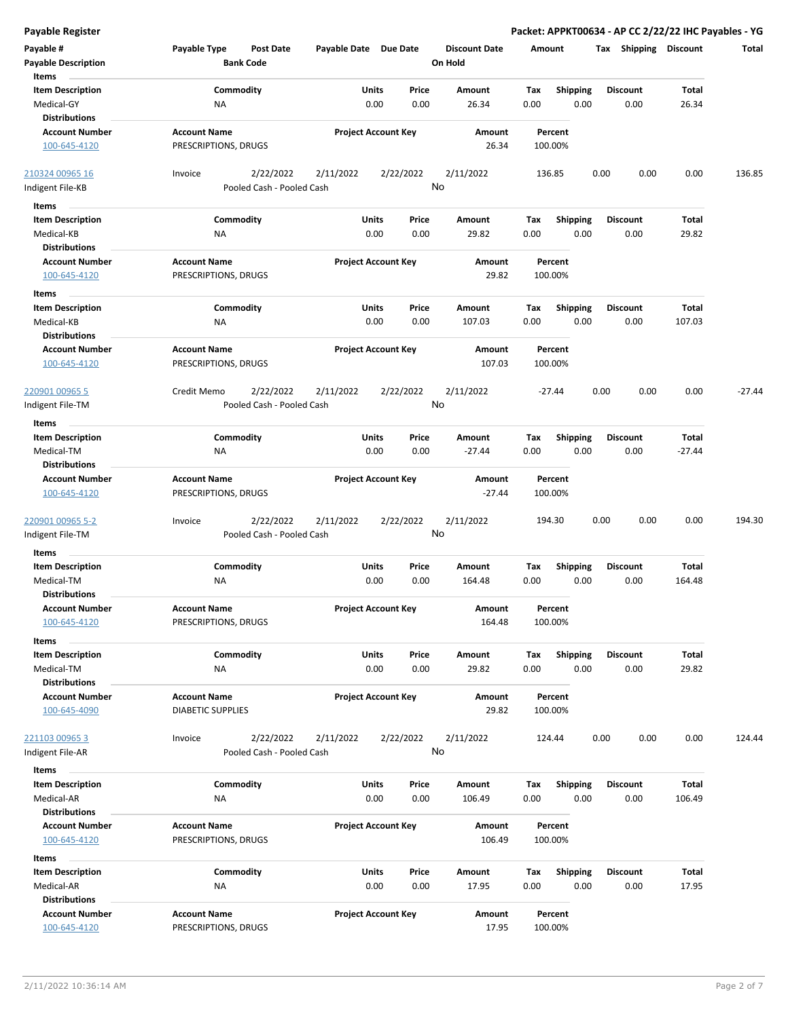**Payable # Payable Type Post Date Payable Date Due Date Payable Description Bank Code Discount Date Amount Tax Shipping Discount Total On Hold** 0.00 0.00 **Units** Medical-GY NA 0.00 0.00 26.34 0.00 **Item Description** 26.34 **Price Amount Tax** 0.00 26.34 Commodity **Shipping Shipping Commodity Shipping Discount** Total NA **Items** 0.00 **Discount Account Number Account Name Project Account Key Amount Distributions Percent** 100-645-4120 PRESCRIPTIONS, DRUGS 26.34 100.00% 2/22/2022 2/11/2022 2/22/2022 Indigent File-KB Pooled Cash - Pooled Cash  $\frac{210324\,00965\,16}{0.00}$  lnvoice 2/22/2022 2/11/2022 2/22/2022 136.85 0.00 0.00 136.85 No 0.00 0.00 **Units** Medical-KB 0.00 **Item Description** 29.82 **Price Amount Tax** 0.00 29.82 Commodity **Shipping Shipping Commodity Shipping Discount** Total NA **Items** 0.00 **Discount Account Number Account Name Project Account Key Amount Distributions Percent** 100-645-4120 PRESCRIPTIONS, DRUGS 29.82 100.00% 0.00 0.00 **Units** Medical-KB 0.00 **Item Description** 107.03 **Price Amount Tax** 0.00 107.03 Commodity **Shipping Example 1 Commodity Shipping Discount** Total NA **Items** 0.00 **Discount Account Number Account Name Project Account Key Amount Distributions Percent** 100-645-4120 PRESCRIPTIONS, DRUGS 107.03 100.00% 2/22/2022 2/11/2022 2/22/2022 Indigent File-TM Pooled Cash - Pooled Cash 220901 00965 5 Credit Memo 2/11/2022 -27.44 0.00 0.00 0.00 -27.44 No 0.00 0.00 **Units** Medical-TM 0.00 **Item Description** -27.44 **Price Amount Tax**  $0.00$   $0.00$   $-27.44$ Commodity **Shipping Shipping Commodity Shipping Discount** Total NA **Items** 0.00 **Discount Account Number Account Name Project Account Key Amount Distributions Percent** 100-645-4120 PRESCRIPTIONS, DRUGS -27.44 100.00% 2/22/2022 2/11/2022 2/22/2022 Indigent File-TM Pooled Cash - Pooled Cash 2<u>20901 00965 5-2</u> Invoice 2/22/2022 2/11/2022 2/22/2022 2/11/2022 194.30 0.00 0.00 194.30 No 0.00 0.00 **Units** Medical-TM 0.00 **Item Description** 164.48 **Price Amount Tax** 0.00 164.48 Commodity **Shipping Shipping Commodity Shipping Discount** Total NA **Items** 0.00 **Discount Account Number Account Name Project Account Key Amount Distributions Percent** 100-645-4120 PRESCRIPTIONS, DRUGS 164.48 100.00% 0.00 0.00 **Units** Medical-TM 0.00 **Item Description** 29.82 **Price Amount Tax** 0.00 29.82 Commodity **Shipping Example 1 Commodity Shipping Discount** Total NA **Items** 0.00 **Discount Account Number Account Name Project Account Key Amount Distributions Percent** 100-645-4090 DIABETIC SUPPLIES 29.82 100.00% 2/22/2022 2/11/2022 2/22/2022 Indigent File-AR Pooled Cash - Pooled Cash 221103 00965 3 Invoice 2/11/2022 124.44 0.00 0.00 0.00 124.44 No 0.00 0.00 **Units** Medical-AR 0.00 **Item Description** 106.49 **Price Amount Tax** 0.00 106.49 Commodity **Shipping Shipping Commodity Shipping Discount** Total NA **Items** 0.00 **Discount Account Number Account Name Project Account Key Amount Distributions Percent** 100-645-4120 PRESCRIPTIONS, DRUGS 106.49 100.00% 0.00 0.00 **Units** Medical-AR 0.00 **Item Description** 17.95 **Price Amount Tax** 0.00 17.95 Commodity **Shipping Example 1 Commodity Shipping Discount** Total NA **Items** 0.00 **Discount Account Number Account Name Project Account Key Amount Distributions Percent** 100-645-4120 PRESCRIPTIONS, DRUGS 17.95 100.00%

**Payable Register Packet: APPKT00634 - AP CC 2/22/22 IHC Payables - YG**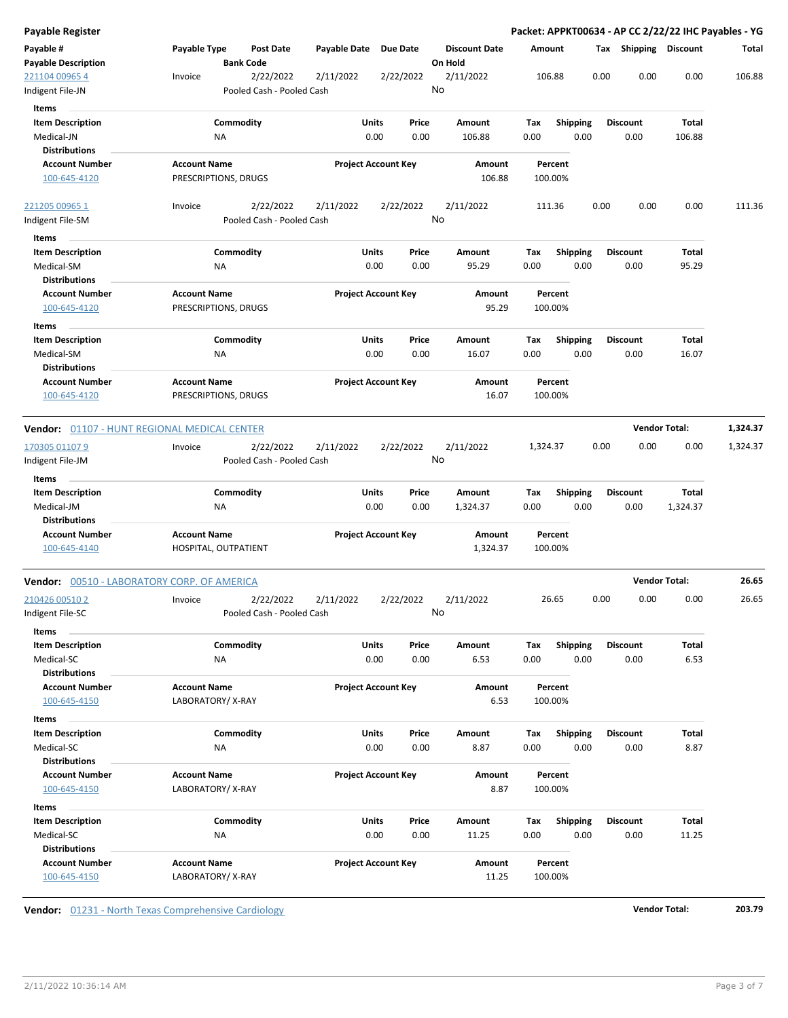| Payable Register                                    |                                             |                                        |                       |                            |                                 |             |                         |      |                         | Packet: APPKT00634 - AP CC 2/22/22 IHC Payables - YG |          |
|-----------------------------------------------------|---------------------------------------------|----------------------------------------|-----------------------|----------------------------|---------------------------------|-------------|-------------------------|------|-------------------------|------------------------------------------------------|----------|
| Payable #<br><b>Payable Description</b>             | Payable Type                                | Post Date<br><b>Bank Code</b>          | Payable Date Due Date |                            | <b>Discount Date</b><br>On Hold |             | Amount                  |      | Tax Shipping Discount   |                                                      | Total    |
| 221104 00965 4<br>Indigent File-JN                  | Invoice                                     | 2/22/2022<br>Pooled Cash - Pooled Cash | 2/11/2022             | 2/22/2022                  | 2/11/2022<br>No                 |             | 106.88                  | 0.00 | 0.00                    | 0.00                                                 | 106.88   |
| Items                                               |                                             |                                        |                       |                            |                                 |             |                         |      |                         |                                                      |          |
| <b>Item Description</b><br>Medical-JN               | ΝA                                          | Commodity                              | Units                 | Price<br>0.00<br>0.00      | Amount<br>106.88                | Tax<br>0.00 | <b>Shipping</b><br>0.00 |      | <b>Discount</b><br>0.00 | Total<br>106.88                                      |          |
| <b>Distributions</b>                                |                                             |                                        |                       |                            |                                 |             |                         |      |                         |                                                      |          |
| <b>Account Number</b>                               | <b>Account Name</b>                         |                                        |                       | <b>Project Account Key</b> | Amount                          |             | Percent                 |      |                         |                                                      |          |
| 100-645-4120                                        | PRESCRIPTIONS, DRUGS                        |                                        |                       |                            | 106.88                          |             | 100.00%                 |      |                         |                                                      |          |
| 221205 00965 1                                      | Invoice                                     | 2/22/2022                              | 2/11/2022             | 2/22/2022                  | 2/11/2022                       |             | 111.36                  | 0.00 | 0.00                    | 0.00                                                 | 111.36   |
| Indigent File-SM                                    |                                             | Pooled Cash - Pooled Cash              |                       |                            | No                              |             |                         |      |                         |                                                      |          |
| Items                                               |                                             |                                        |                       |                            |                                 |             |                         |      |                         |                                                      |          |
| <b>Item Description</b>                             |                                             | Commodity                              | Units                 | Price                      | Amount                          | Tax         | <b>Shipping</b>         |      | <b>Discount</b>         | Total                                                |          |
| Medical-SM                                          | ΝA                                          |                                        |                       | 0.00<br>0.00               | 95.29                           | 0.00        | 0.00                    |      | 0.00                    | 95.29                                                |          |
| <b>Distributions</b>                                |                                             |                                        |                       |                            |                                 |             |                         |      |                         |                                                      |          |
| <b>Account Number</b><br>100-645-4120               | <b>Account Name</b><br>PRESCRIPTIONS, DRUGS |                                        |                       | <b>Project Account Key</b> | Amount<br>95.29                 |             | Percent<br>100.00%      |      |                         |                                                      |          |
| Items                                               |                                             |                                        |                       |                            |                                 |             |                         |      |                         |                                                      |          |
| <b>Item Description</b>                             |                                             | Commodity                              | Units                 | Price                      | Amount                          | Tax         | <b>Shipping</b>         |      | <b>Discount</b>         | Total                                                |          |
| Medical-SM                                          | <b>NA</b>                                   |                                        |                       | 0.00<br>0.00               | 16.07                           | 0.00        | 0.00                    |      | 0.00                    | 16.07                                                |          |
| <b>Distributions</b>                                |                                             |                                        |                       |                            |                                 |             |                         |      |                         |                                                      |          |
| <b>Account Number</b>                               | <b>Account Name</b>                         |                                        |                       | <b>Project Account Key</b> | Amount                          |             | Percent                 |      |                         |                                                      |          |
| 100-645-4120                                        | PRESCRIPTIONS, DRUGS                        |                                        |                       |                            | 16.07                           |             | 100.00%                 |      |                         |                                                      |          |
| <b>Vendor:</b> 01107 - HUNT REGIONAL MEDICAL CENTER |                                             |                                        |                       |                            |                                 |             |                         |      | <b>Vendor Total:</b>    |                                                      | 1,324.37 |
| 170305 01107 9                                      | Invoice                                     | 2/22/2022                              | 2/11/2022             | 2/22/2022                  | 2/11/2022                       | 1,324.37    |                         | 0.00 | 0.00                    | 0.00                                                 | 1,324.37 |
| Indigent File-JM                                    |                                             | Pooled Cash - Pooled Cash              |                       |                            | No                              |             |                         |      |                         |                                                      |          |
| Items                                               |                                             |                                        |                       |                            |                                 |             |                         |      |                         |                                                      |          |
| <b>Item Description</b>                             |                                             | Commodity                              | Units                 | Price                      | Amount                          | Tax         | <b>Shipping</b>         |      | <b>Discount</b>         | Total                                                |          |
| Medical-JM                                          | ΝA                                          |                                        |                       | 0.00<br>0.00               | 1,324.37                        | 0.00        | 0.00                    |      | 0.00                    | 1,324.37                                             |          |
| <b>Distributions</b>                                |                                             |                                        |                       |                            |                                 |             |                         |      |                         |                                                      |          |
| <b>Account Number</b>                               | <b>Account Name</b>                         |                                        |                       | <b>Project Account Key</b> | Amount                          |             | Percent                 |      |                         |                                                      |          |
| 100-645-4140                                        | HOSPITAL, OUTPATIENT                        |                                        |                       |                            | 1,324.37                        |             | 100.00%                 |      |                         |                                                      |          |
| <b>Vendor:</b> 00510 - LABORATORY CORP. OF AMERICA  |                                             |                                        |                       |                            |                                 |             |                         |      |                         | <b>Vendor Total:</b>                                 | 26.65    |
| 210426 00510 2                                      | Invoice                                     | 2/22/2022                              | 2/11/2022             | 2/22/2022                  | 2/11/2022                       |             | 26.65                   | 0.00 | 0.00                    | 0.00                                                 | 26.65    |
| ndigent File-SC                                     |                                             | Pooled Cash - Pooled Cash              |                       |                            | No                              |             |                         |      |                         |                                                      |          |
| Items                                               |                                             |                                        |                       |                            |                                 |             |                         |      |                         |                                                      |          |
| <b>Item Description</b>                             |                                             | Commodity                              | Units                 | Price                      | Amount                          | Tax         | Shipping                |      | <b>Discount</b>         | Total                                                |          |
| Medical-SC                                          | NA                                          |                                        |                       | 0.00<br>0.00               | 6.53                            | 0.00        | 0.00                    |      | 0.00                    | 6.53                                                 |          |
| <b>Distributions</b>                                |                                             |                                        |                       |                            |                                 |             |                         |      |                         |                                                      |          |
| <b>Account Number</b>                               | <b>Account Name</b>                         |                                        |                       | <b>Project Account Key</b> | Amount                          |             | Percent                 |      |                         |                                                      |          |
| 100-645-4150                                        | LABORATORY/X-RAY                            |                                        |                       |                            | 6.53                            |             | 100.00%                 |      |                         |                                                      |          |
| Items                                               |                                             |                                        |                       |                            |                                 |             |                         |      |                         |                                                      |          |
| <b>Item Description</b>                             |                                             | Commodity                              | Units                 | Price                      | Amount                          | Tax         | <b>Shipping</b>         |      | <b>Discount</b>         | Total                                                |          |
| Medical-SC                                          | NA                                          |                                        |                       | 0.00<br>0.00               | 8.87                            | 0.00        | 0.00                    |      | 0.00                    | 8.87                                                 |          |
| <b>Distributions</b>                                |                                             |                                        |                       |                            |                                 |             |                         |      |                         |                                                      |          |
| <b>Account Number</b>                               | <b>Account Name</b>                         |                                        |                       | <b>Project Account Key</b> | Amount                          |             | Percent                 |      |                         |                                                      |          |
| 100-645-4150                                        | LABORATORY/X-RAY                            |                                        |                       |                            | 8.87                            |             | 100.00%                 |      |                         |                                                      |          |
| Items                                               |                                             |                                        |                       |                            |                                 |             |                         |      |                         |                                                      |          |
| <b>Item Description</b>                             |                                             | Commodity                              | Units                 | Price                      | Amount                          | Tax         | <b>Shipping</b>         |      | <b>Discount</b>         | Total                                                |          |
| Medical-SC                                          | NA                                          |                                        |                       | 0.00<br>0.00               | 11.25                           | 0.00        | 0.00                    |      | 0.00                    | 11.25                                                |          |
| <b>Distributions</b>                                |                                             |                                        |                       |                            |                                 |             |                         |      |                         |                                                      |          |
| <b>Account Number</b>                               | <b>Account Name</b>                         |                                        |                       | <b>Project Account Key</b> | Amount                          |             | Percent                 |      |                         |                                                      |          |
| 100-645-4150                                        | LABORATORY/X-RAY                            |                                        |                       |                            | 11.25                           |             | 100.00%                 |      |                         |                                                      |          |
|                                                     |                                             |                                        |                       |                            |                                 |             |                         |      |                         |                                                      |          |

**Vendor:** 01231 - North Texas Comprehensive Cardiology **Vendor Total: 203.79**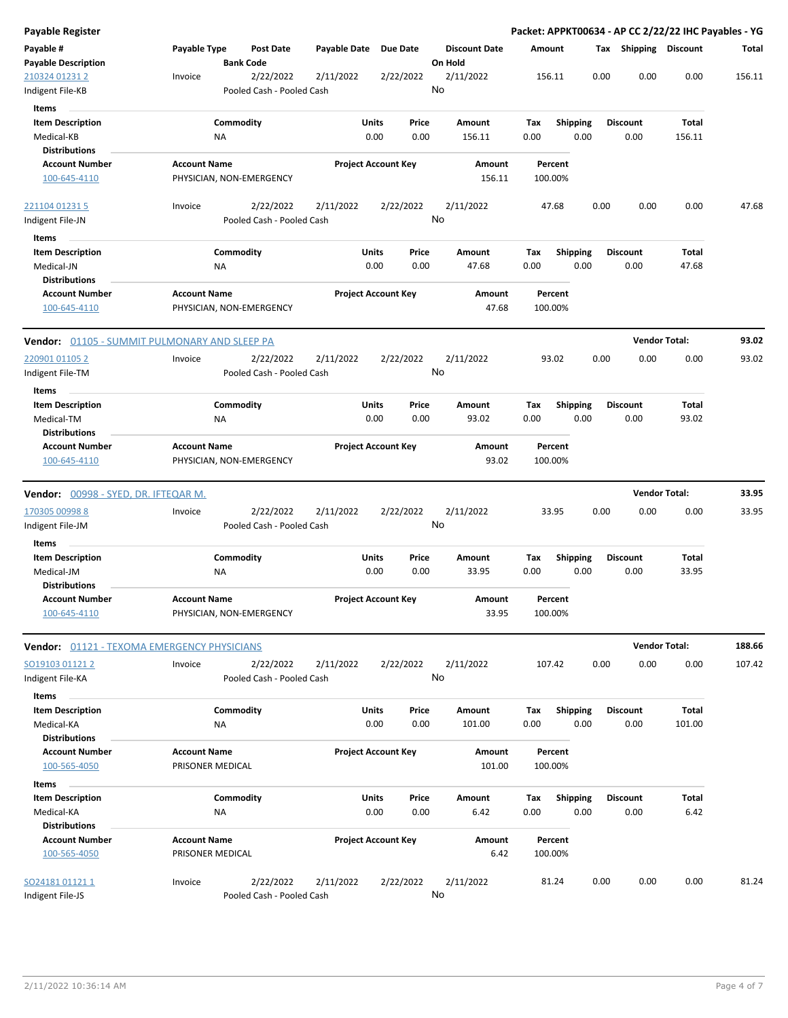| <b>Payable Register</b>              |                                                      |                            |           |                      | Packet: APPKT00634 - AP CC 2/22/22 IHC Payables - YG |                 |                       |                      |        |
|--------------------------------------|------------------------------------------------------|----------------------------|-----------|----------------------|------------------------------------------------------|-----------------|-----------------------|----------------------|--------|
| Payable #                            | Payable Type<br>Post Date                            | Payable Date               | Due Date  | <b>Discount Date</b> | Amount                                               |                 | Tax Shipping Discount |                      | Total  |
| <b>Payable Description</b>           | <b>Bank Code</b>                                     |                            |           | On Hold              |                                                      |                 |                       |                      |        |
| 210324 01231 2                       | 2/22/2022<br>Invoice                                 | 2/11/2022                  | 2/22/2022 | 2/11/2022            | 156.11                                               | 0.00            | 0.00                  | 0.00                 | 156.11 |
| Indigent File-KB                     | Pooled Cash - Pooled Cash                            |                            |           | No                   |                                                      |                 |                       |                      |        |
| Items                                |                                                      |                            |           |                      |                                                      |                 |                       |                      |        |
| <b>Item Description</b>              | Commodity                                            | Units                      | Price     | Amount               | Tax                                                  | <b>Shipping</b> | <b>Discount</b>       | Total                |        |
| Medical-KB                           | <b>NA</b>                                            | 0.00                       | 0.00      | 156.11               | 0.00                                                 | 0.00            | 0.00                  | 156.11               |        |
| <b>Distributions</b>                 |                                                      |                            |           |                      |                                                      |                 |                       |                      |        |
| <b>Account Number</b>                | <b>Account Name</b>                                  | <b>Project Account Key</b> |           | Amount               | Percent                                              |                 |                       |                      |        |
| 100-645-4110                         | PHYSICIAN, NON-EMERGENCY                             |                            |           | 156.11               | 100.00%                                              |                 |                       |                      |        |
| 221104 01231 5                       | 2/22/2022<br>Invoice                                 | 2/11/2022                  | 2/22/2022 | 2/11/2022            | 47.68                                                | 0.00            | 0.00                  | 0.00                 | 47.68  |
| Indigent File-JN                     | Pooled Cash - Pooled Cash                            |                            |           | No                   |                                                      |                 |                       |                      |        |
| Items                                |                                                      |                            |           |                      |                                                      |                 |                       |                      |        |
| <b>Item Description</b>              | Commodity                                            | Units                      | Price     | Amount               | Tax                                                  | <b>Shipping</b> | <b>Discount</b>       | Total                |        |
| Medical-JN                           | ΝA                                                   | 0.00                       | 0.00      | 47.68                | 0.00                                                 | 0.00            | 0.00                  | 47.68                |        |
| <b>Distributions</b>                 |                                                      |                            |           |                      |                                                      |                 |                       |                      |        |
| <b>Account Number</b>                | <b>Account Name</b>                                  | <b>Project Account Key</b> |           | Amount               | Percent                                              |                 |                       |                      |        |
| 100-645-4110                         | PHYSICIAN, NON-EMERGENCY                             |                            |           | 47.68                | 100.00%                                              |                 |                       |                      |        |
|                                      | <b>Vendor:</b> 01105 - SUMMIT PULMONARY AND SLEEP PA |                            |           |                      |                                                      |                 |                       | <b>Vendor Total:</b> | 93.02  |
| 220901 01105 2                       | 2/22/2022<br>Invoice                                 | 2/11/2022                  | 2/22/2022 | 2/11/2022            | 93.02                                                | 0.00            | 0.00                  | 0.00                 | 93.02  |
| Indigent File-TM                     | Pooled Cash - Pooled Cash                            |                            |           | No                   |                                                      |                 |                       |                      |        |
| Items                                |                                                      |                            |           |                      |                                                      |                 |                       |                      |        |
| <b>Item Description</b>              | Commodity                                            | Units                      | Price     | Amount               | Tax                                                  | <b>Shipping</b> | <b>Discount</b>       | Total                |        |
| Medical-TM                           | <b>NA</b>                                            | 0.00                       | 0.00      | 93.02                | 0.00                                                 | 0.00            | 0.00                  | 93.02                |        |
| <b>Distributions</b>                 |                                                      |                            |           |                      |                                                      |                 |                       |                      |        |
| <b>Account Number</b>                | <b>Account Name</b>                                  | <b>Project Account Key</b> |           | Amount               | Percent                                              |                 |                       |                      |        |
| 100-645-4110                         | PHYSICIAN, NON-EMERGENCY                             |                            |           | 93.02                | 100.00%                                              |                 |                       |                      |        |
| Vendor: 00998 - SYED, DR. IFTEQAR M. |                                                      |                            |           |                      |                                                      |                 |                       | <b>Vendor Total:</b> | 33.95  |
| 170305 00998 8                       | 2/22/2022<br>Invoice                                 | 2/11/2022                  | 2/22/2022 | 2/11/2022            | 33.95                                                | 0.00            | 0.00                  | 0.00                 | 33.95  |
| Indigent File-JM                     | Pooled Cash - Pooled Cash                            |                            |           | No                   |                                                      |                 |                       |                      |        |
| Items                                |                                                      |                            |           |                      |                                                      |                 |                       |                      |        |
| <b>Item Description</b>              | Commodity                                            | Units                      | Price     | Amount               | Tax                                                  | <b>Shipping</b> | <b>Discount</b>       | Total                |        |
| Medical-JM                           | ΝA                                                   | 0.00                       | 0.00      | 33.95                | 0.00                                                 | 0.00            | 0.00                  | 33.95                |        |
| <b>Distributions</b>                 |                                                      |                            |           |                      |                                                      |                 |                       |                      |        |
| <b>Account Number</b>                | <b>Account Name</b>                                  | <b>Project Account Key</b> |           | Amount               | Percent                                              |                 |                       |                      |        |
| 100-645-4110                         | PHYSICIAN, NON-EMERGENCY                             |                            |           | 33.95                | 100.00%                                              |                 |                       |                      |        |
|                                      | Vendor: 01121 - TEXOMA EMERGENCY PHYSICIANS          |                            |           |                      |                                                      |                 |                       | <b>Vendor Total:</b> | 188.66 |
| SO19103 01121 2                      | 2/22/2022<br>Invoice                                 | 2/11/2022                  | 2/22/2022 | 2/11/2022            | 107.42                                               | 0.00            | 0.00                  | 0.00                 | 107.42 |
| Indigent File-KA                     | Pooled Cash - Pooled Cash                            |                            |           | No                   |                                                      |                 |                       |                      |        |
| Items                                |                                                      |                            |           |                      |                                                      |                 |                       |                      |        |
| <b>Item Description</b>              | Commodity                                            | <b>Units</b>               | Price     | Amount               | Tax                                                  | <b>Shipping</b> | <b>Discount</b>       | Total                |        |
| Medical-KA                           | ΝA                                                   | 0.00                       | 0.00      | 101.00               | 0.00                                                 | 0.00            | 0.00                  | 101.00               |        |
| <b>Distributions</b>                 |                                                      |                            |           |                      |                                                      |                 |                       |                      |        |
| <b>Account Number</b>                | <b>Account Name</b>                                  | <b>Project Account Key</b> |           | Amount               | Percent                                              |                 |                       |                      |        |
| 100-565-4050                         | PRISONER MEDICAL                                     |                            |           | 101.00               | 100.00%                                              |                 |                       |                      |        |
| Items                                |                                                      |                            |           |                      |                                                      |                 |                       |                      |        |
| <b>Item Description</b>              | Commodity                                            | <b>Units</b>               | Price     | Amount               | Tax                                                  | <b>Shipping</b> | <b>Discount</b>       | Total                |        |
| Medical-KA                           | NA                                                   | 0.00                       | 0.00      | 6.42                 | 0.00                                                 | 0.00            | 0.00                  | 6.42                 |        |
| <b>Distributions</b>                 |                                                      |                            |           |                      |                                                      |                 |                       |                      |        |
| <b>Account Number</b>                | <b>Account Name</b>                                  | <b>Project Account Key</b> |           | Amount               | Percent                                              |                 |                       |                      |        |
| 100-565-4050                         | PRISONER MEDICAL                                     |                            |           | 6.42                 | 100.00%                                              |                 |                       |                      |        |
|                                      | Invoice                                              |                            |           |                      |                                                      | 0.00            | 0.00                  | 0.00                 | 81.24  |
| SO24181011211<br>Indigent File-JS    | 2/22/2022<br>Pooled Cash - Pooled Cash               | 2/11/2022                  | 2/22/2022 | 2/11/2022<br>No      | 81.24                                                |                 |                       |                      |        |
|                                      |                                                      |                            |           |                      |                                                      |                 |                       |                      |        |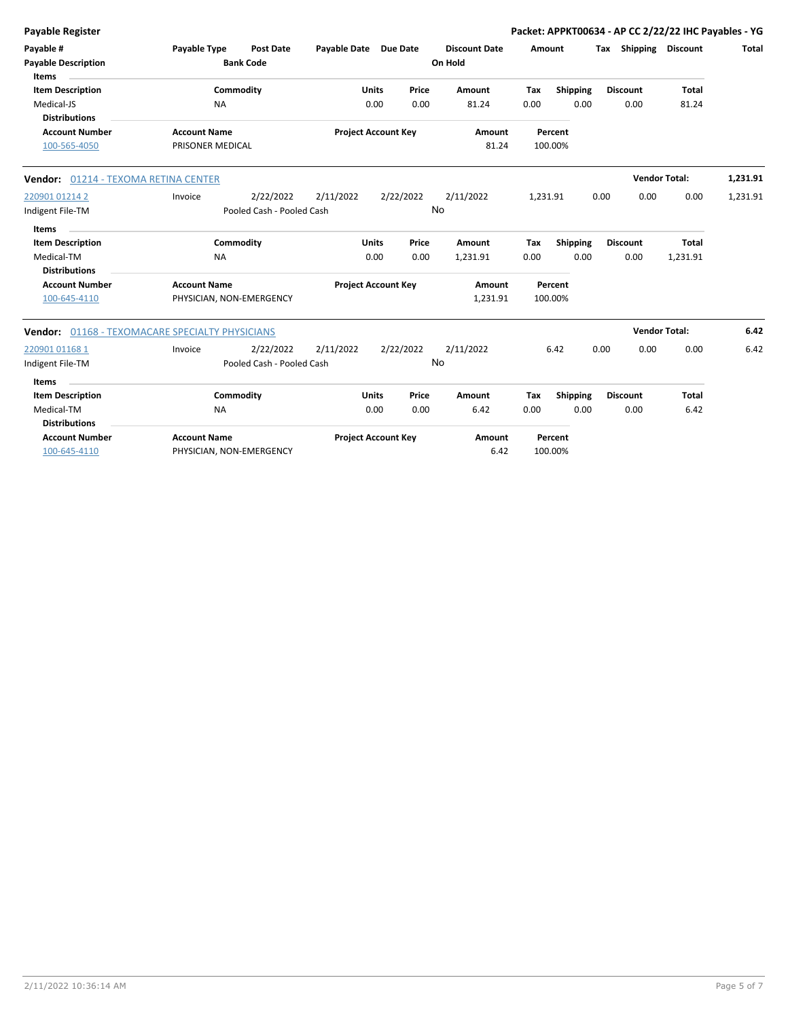| <b>Payable Register</b>                                                       |                                                 |                                        |              |                            |                 |                                 |             |                    |      |                         | Packet: APPKT00634 - AP CC 2/22/22 IHC Payables - YG |              |
|-------------------------------------------------------------------------------|-------------------------------------------------|----------------------------------------|--------------|----------------------------|-----------------|---------------------------------|-------------|--------------------|------|-------------------------|------------------------------------------------------|--------------|
| Payable #<br><b>Payable Description</b>                                       | Payable Type                                    | <b>Post Date</b><br><b>Bank Code</b>   | Payable Date |                            | <b>Due Date</b> | <b>Discount Date</b><br>On Hold |             | Amount             |      | Tax Shipping            | Discount                                             | <b>Total</b> |
| <b>Items</b><br><b>Item Description</b><br>Medical-JS<br><b>Distributions</b> | <b>NA</b>                                       | Commodity                              |              | <b>Units</b><br>0.00       | Price<br>0.00   | Amount<br>81.24                 | Tax<br>0.00 | Shipping<br>0.00   |      | <b>Discount</b><br>0.00 | <b>Total</b><br>81.24                                |              |
| <b>Account Number</b><br>100-565-4050                                         | <b>Account Name</b><br>PRISONER MEDICAL         |                                        |              | <b>Project Account Key</b> |                 | Amount<br>81.24                 |             | Percent<br>100.00% |      |                         |                                                      |              |
| Vendor: 01214 - TEXOMA RETINA CENTER                                          |                                                 |                                        |              |                            |                 |                                 |             |                    |      |                         | <b>Vendor Total:</b>                                 | 1,231.91     |
| 220901 01214 2<br>Indigent File-TM                                            | Invoice                                         | 2/22/2022<br>Pooled Cash - Pooled Cash | 2/11/2022    |                            | 2/22/2022<br>No | 2/11/2022                       | 1,231.91    |                    | 0.00 | 0.00                    | 0.00                                                 | 1,231.91     |
| Items<br><b>Item Description</b><br>Medical-TM<br><b>Distributions</b>        | <b>NA</b>                                       | Commodity                              |              | <b>Units</b><br>0.00       | Price<br>0.00   | Amount<br>1,231.91              | Tax<br>0.00 | Shipping<br>0.00   |      | <b>Discount</b><br>0.00 | <b>Total</b><br>1,231.91                             |              |
| <b>Account Number</b><br>100-645-4110                                         | <b>Account Name</b><br>PHYSICIAN, NON-EMERGENCY |                                        |              | <b>Project Account Key</b> |                 | Amount<br>1,231.91              |             | Percent<br>100.00% |      |                         |                                                      |              |
| Vendor: 01168 - TEXOMACARE SPECIALTY PHYSICIANS                               |                                                 |                                        |              |                            |                 |                                 |             |                    |      |                         | <b>Vendor Total:</b>                                 | 6.42         |
| 220901 01168 1<br>Indigent File-TM                                            | Invoice                                         | 2/22/2022<br>Pooled Cash - Pooled Cash | 2/11/2022    |                            | 2/22/2022<br>No | 2/11/2022                       |             | 6.42               | 0.00 | 0.00                    | 0.00                                                 | 6.42         |
| <b>Items</b><br><b>Item Description</b>                                       |                                                 | Commodity                              |              | <b>Units</b>               | Price           | Amount                          | Tax         | Shipping           |      | <b>Discount</b>         | <b>Total</b>                                         |              |
| Medical-TM<br><b>Distributions</b>                                            | <b>NA</b>                                       |                                        |              | 0.00                       | 0.00            | 6.42                            | 0.00        | 0.00               |      | 0.00                    | 6.42                                                 |              |
| <b>Account Number</b><br>100-645-4110                                         | <b>Account Name</b><br>PHYSICIAN, NON-EMERGENCY |                                        |              | <b>Project Account Key</b> |                 | Amount<br>6.42                  |             | Percent<br>100.00% |      |                         |                                                      |              |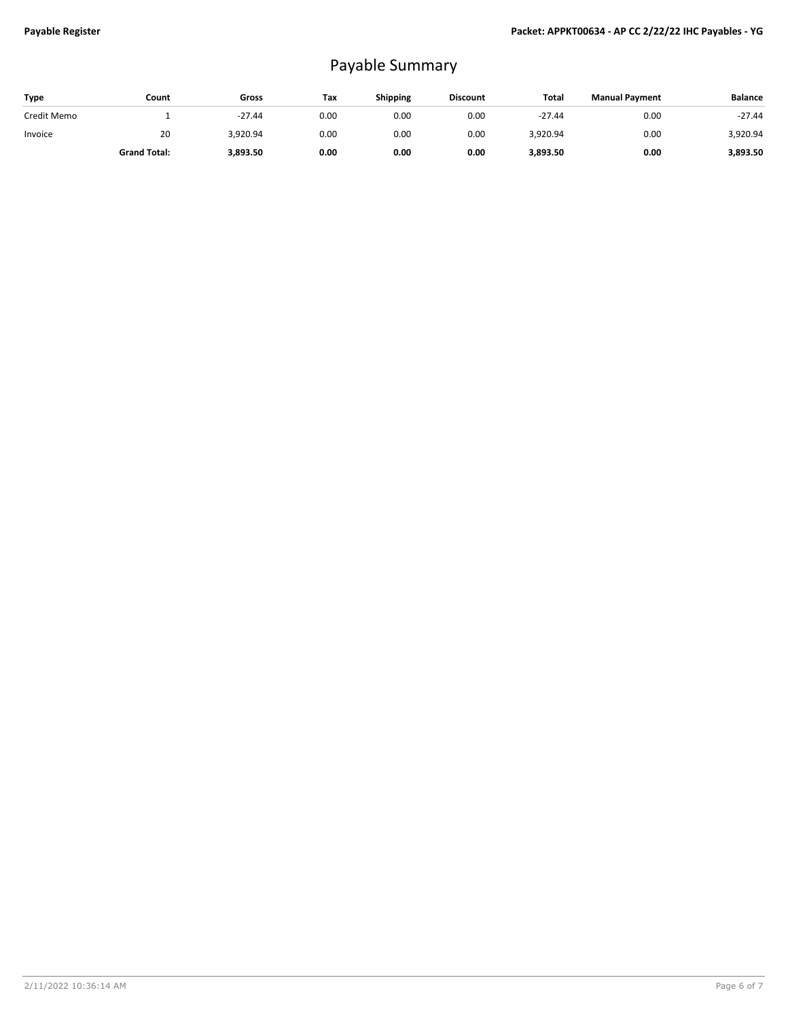## Payable Summary

| <b>Type</b> | Count               | Gross    | Tax  | Shipping | <b>Discount</b> | Total    | <b>Manual Payment</b> | <b>Balance</b> |
|-------------|---------------------|----------|------|----------|-----------------|----------|-----------------------|----------------|
| Credit Memo |                     | $-27.44$ | 0.00 | 0.00     | 0.00            | $-27.44$ | 0.00                  | $-27.44$       |
| Invoice     | 20                  | 3,920.94 | 0.00 | 0.00     | 0.00            | 3,920.94 | 0.00                  | 3,920.94       |
|             | <b>Grand Total:</b> | 3,893.50 | 0.00 | 0.00     | 0.00            | 3,893.50 | 0.00                  | 3,893.50       |